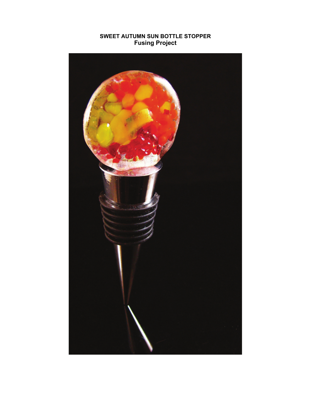## **SWEET AUTUMN SUN BOTTLE STOPPER Fusing Project**

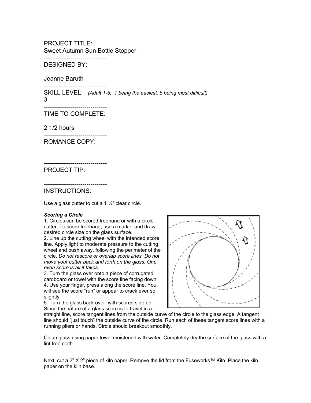PROJECT TITLE: Sweet Autumn Sun Bottle Stopper -------------------------------

DESIGNED BY:

Jeanne Baruth

------------------------------- SKILL LEVEL: *(Adult 1-5: 1 being the easiest, 5 being most difficult)* 3

------------------------------- TIME TO COMPLETE:

2 1/2 hours

------------------------------- ROMANCE COPY:

------------------------------- PROJECT TIP:

------------------------------- INSTRUCTIONS:

Use a glass cutter to cut a 1 1/4" clear circle.

## *Scoring a Circle*

1. Circles can be scored freehand or with a circle cutter. To score freehand, use a marker and draw desired circle size on the glass surface.

2. Line up the cutting wheel with the intended score line. Apply light to moderate pressure to the cutting wheel and push away, following the perimeter of the circle. *Do not rescore or overlap score lines. Do not move your cutter back and forth on the glass. One even score is all it takes.* 

3. Turn the glass over onto a piece of corrugated cardboard or towel with the score line facing down. 4. Use your finger, press along the score line. You will see the score "run" or appear to crack ever so slightly.

5. Turn the glass back over, with scored side up. Since the nature of a glass score is to travel in a



straight line, score tangent lines from the outside curve of the circle to the glass edge. A tangent line should "just touch" the outside curve of the circle. Run each of these tangent score lines with a running pliers or hands. Circle should breakout smoothly.

Clean glass using paper towel moistened with water. Completely dry the surface of the glass with a lint free cloth.

Next, cut a 2" X 2" piece of kiln paper. Remove the lid from the Fuseworks™ Kiln. Place the kiln paper on the kiln base.